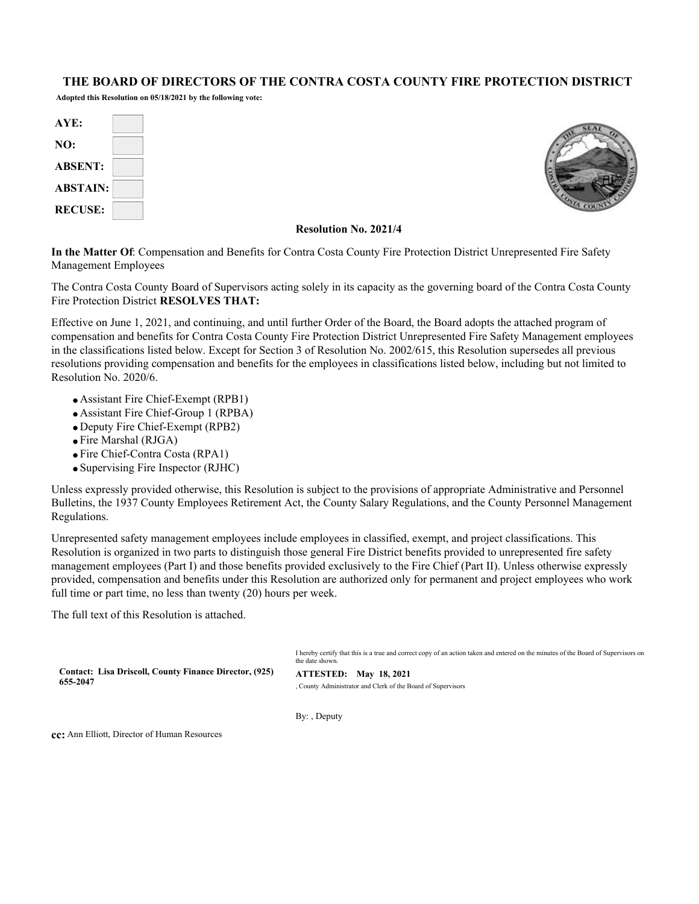#### **THE BOARD OF DIRECTORS OF THE CONTRA COSTA COUNTY FIRE PROTECTION DISTRICT**

**Adopted this Resolution on 05/18/2021 by the following vote:**

| AYE:            |  |
|-----------------|--|
| NO:             |  |
| <b>ABSENT:</b>  |  |
| <b>ABSTAIN:</b> |  |
| <b>RECUSE:</b>  |  |



#### **Resolution No. 2021/4**

**In the Matter Of**: Compensation and Benefits for Contra Costa County Fire Protection District Unrepresented Fire Safety Management Employees

The Contra Costa County Board of Supervisors acting solely in its capacity as the governing board of the Contra Costa County Fire Protection District **RESOLVES THAT:**

Effective on June 1, 2021, and continuing, and until further Order of the Board, the Board adopts the attached program of compensation and benefits for Contra Costa County Fire Protection District Unrepresented Fire Safety Management employees in the classifications listed below. Except for Section 3 of Resolution No. 2002/615, this Resolution supersedes all previous resolutions providing compensation and benefits for the employees in classifications listed below, including but not limited to Resolution No. 2020/6.

- Assistant Fire Chief-Exempt (RPB1)
- Assistant Fire Chief-Group 1 (RPBA)
- Deputy Fire Chief-Exempt (RPB2)
- Fire Marshal (RJGA)
- Fire Chief-Contra Costa (RPA1)
- Supervising Fire Inspector (RJHC)

Unless expressly provided otherwise, this Resolution is subject to the provisions of appropriate Administrative and Personnel Bulletins, the 1937 County Employees Retirement Act, the County Salary Regulations, and the County Personnel Management Regulations.

Unrepresented safety management employees include employees in classified, exempt, and project classifications. This Resolution is organized in two parts to distinguish those general Fire District benefits provided to unrepresented fire safety management employees (Part I) and those benefits provided exclusively to the Fire Chief (Part II). Unless otherwise expressly provided, compensation and benefits under this Resolution are authorized only for permanent and project employees who work full time or part time, no less than twenty (20) hours per week.

The full text of this Resolution is attached.

|                                                                    | I hereby certify that this is a true and correct copy of an action taken and entered on the minutes of the Board of Supervisors on<br>the date shown. |
|--------------------------------------------------------------------|-------------------------------------------------------------------------------------------------------------------------------------------------------|
| Contact: Lisa Driscoll, County Finance Director, (925)<br>655-2047 | ATTESTED: May 18, 2021<br>County Administrator and Clerk of the Board of Supervisors                                                                  |
|                                                                    |                                                                                                                                                       |

By: , Deputy

**cc:** Ann Elliott, Director of Human Resources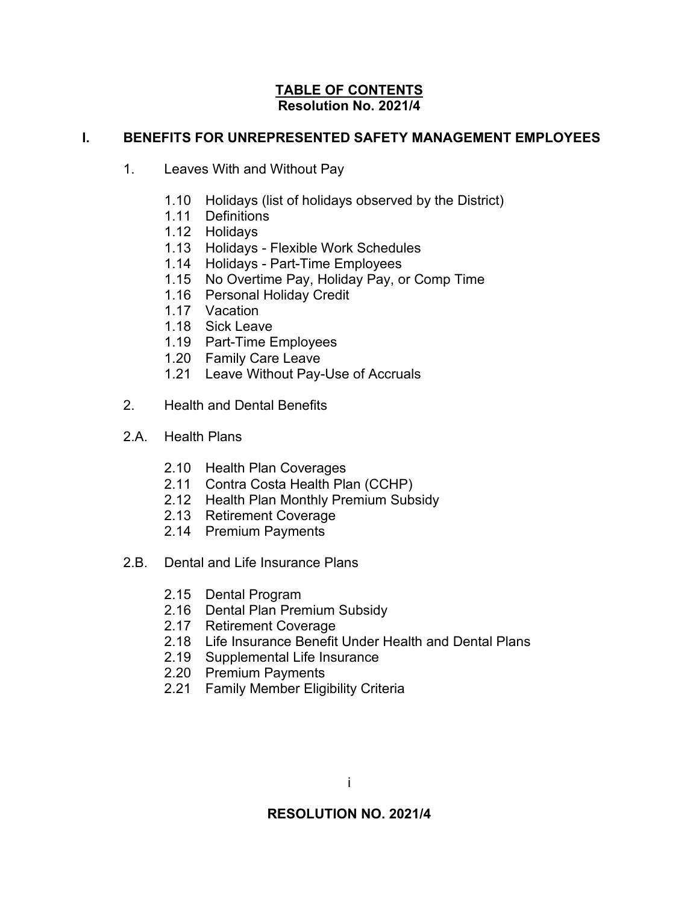### **TABLE OF CONTENTS Resolution No. 2021/4**

## **I. BENEFITS FOR UNREPRESENTED SAFETY MANAGEMENT EMPLOYEES**

- 1. Leaves With and Without Pay
	- 1.10 Holidays (list of holidays observed by the District)
	- 1.11 Definitions
	- 1.12 Holidays
	- 1.13 Holidays Flexible Work Schedules
	- 1.14 Holidays Part-Time Employees
	- 1.15 No Overtime Pay, Holiday Pay, or Comp Time
	- 1.16 Personal Holiday Credit
	- 1.17 Vacation
	- 1.18 Sick Leave
	- 1.19 Part-Time Employees
	- 1.20 Family Care Leave
	- 1.21 Leave Without Pay-Use of Accruals
- 2. Health and Dental Benefits
- 2.A. Health Plans
	- 2.10 Health Plan Coverages
	- 2.11 Contra Costa Health Plan (CCHP)
	- 2.12 Health Plan Monthly Premium Subsidy
	- 2.13 Retirement Coverage
	- 2.14 Premium Payments
- 2.B. Dental and Life Insurance Plans
	- 2.15 Dental Program
	- 2.16 Dental Plan Premium Subsidy
	- 2.17 Retirement Coverage
	- 2.18 Life Insurance Benefit Under Health and Dental Plans
	- 2.19 Supplemental Life Insurance
	- 2.20 Premium Payments
	- 2.21 Family Member Eligibility Criteria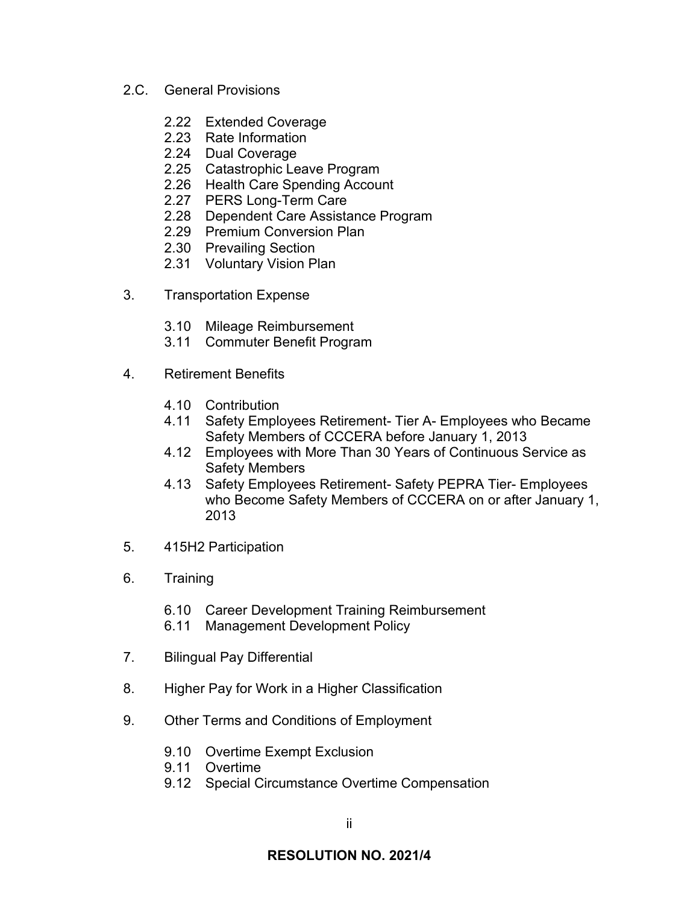- 2.C. General Provisions
	- 2.22 Extended Coverage
	- 2.23 Rate Information
	- 2.24 Dual Coverage
	- 2.25 Catastrophic Leave Program
	- 2.26 Health Care Spending Account
	- 2.27 PERS Long-Term Care
	- 2.28 Dependent Care Assistance Program
	- 2.29 Premium Conversion Plan
	- 2.30 Prevailing Section
	- 2.31 Voluntary Vision Plan
- 3. Transportation Expense
	- 3.10 Mileage Reimbursement
	- 3.11 Commuter Benefit Program
- 4. Retirement Benefits
	- 4.10 Contribution
	- 4.11 Safety Employees Retirement- Tier A- Employees who Became Safety Members of CCCERA before January 1, 2013
	- 4.12 Employees with More Than 30 Years of Continuous Service as Safety Members
	- 4.13 Safety Employees Retirement- Safety PEPRA Tier- Employees who Become Safety Members of CCCERA on or after January 1, 2013
- 5. 415H2 Participation
- 6. Training
	- 6.10 Career Development Training Reimbursement
	- 6.11 Management Development Policy
- 7. Bilingual Pay Differential
- 8. Higher Pay for Work in a Higher Classification
- 9. Other Terms and Conditions of Employment
	- 9.10 Overtime Exempt Exclusion
	- 9.11 Overtime
	- 9.12 Special Circumstance Overtime Compensation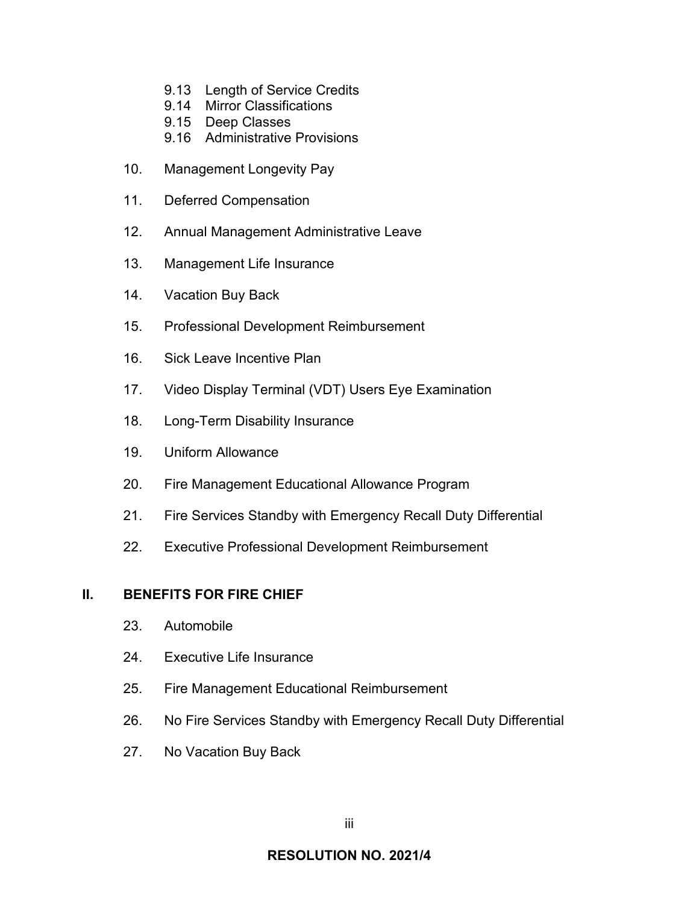- 9.13 Length of Service Credits
- 9.14 Mirror Classifications
- 9.15 Deep Classes
- 9.16 Administrative Provisions
- 10. Management Longevity Pay
- 11. Deferred Compensation
- 12. Annual Management Administrative Leave
- 13. Management Life Insurance
- 14. Vacation Buy Back
- 15. Professional Development Reimbursement
- 16. Sick Leave Incentive Plan
- 17. Video Display Terminal (VDT) Users Eye Examination
- 18. Long-Term Disability Insurance
- 19. Uniform Allowance
- 20. Fire Management Educational Allowance Program
- 21. Fire Services Standby with Emergency Recall Duty Differential
- 22. Executive Professional Development Reimbursement

### **II. BENEFITS FOR FIRE CHIEF**

- 23. Automobile
- 24. Executive Life Insurance
- 25. Fire Management Educational Reimbursement
- 26. No Fire Services Standby with Emergency Recall Duty Differential
- 27. No Vacation Buy Back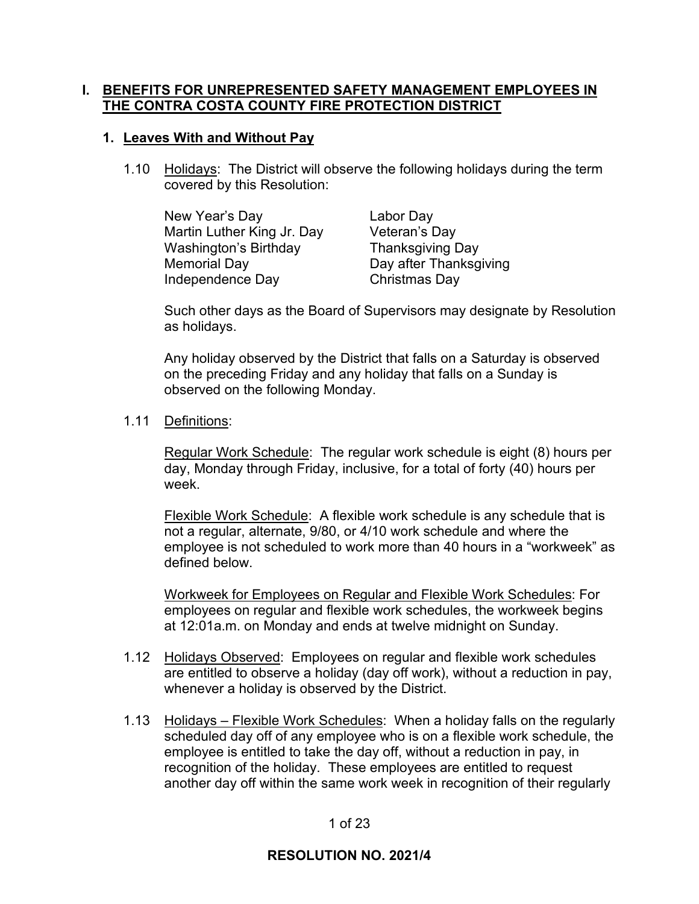## **I. BENEFITS FOR UNREPRESENTED SAFETY MANAGEMENT EMPLOYEES IN THE CONTRA COSTA COUNTY FIRE PROTECTION DISTRICT**

### **1. Leaves With and Without Pay**

1.10 Holidays: The District will observe the following holidays during the term covered by this Resolution:

New Year's Day Labor Day Martin Luther King Jr. Day Veteran's Day Washington's Birthday Thanksgiving Day Memorial Day **Day after Thanksgiving** Independence Day Christmas Day

Such other days as the Board of Supervisors may designate by Resolution as holidays.

Any holiday observed by the District that falls on a Saturday is observed on the preceding Friday and any holiday that falls on a Sunday is observed on the following Monday.

### 1.11 Definitions:

Regular Work Schedule: The regular work schedule is eight (8) hours per day, Monday through Friday, inclusive, for a total of forty (40) hours per week.

Flexible Work Schedule: A flexible work schedule is any schedule that is not a regular, alternate, 9/80, or 4/10 work schedule and where the employee is not scheduled to work more than 40 hours in a "workweek" as defined below.

Workweek for Employees on Regular and Flexible Work Schedules: For employees on regular and flexible work schedules, the workweek begins at 12:01a.m. on Monday and ends at twelve midnight on Sunday.

- 1.12 Holidays Observed: Employees on regular and flexible work schedules are entitled to observe a holiday (day off work), without a reduction in pay, whenever a holiday is observed by the District.
- 1.13 Holidays Flexible Work Schedules: When a holiday falls on the regularly scheduled day off of any employee who is on a flexible work schedule, the employee is entitled to take the day off, without a reduction in pay, in recognition of the holiday. These employees are entitled to request another day off within the same work week in recognition of their regularly

### 1 of 23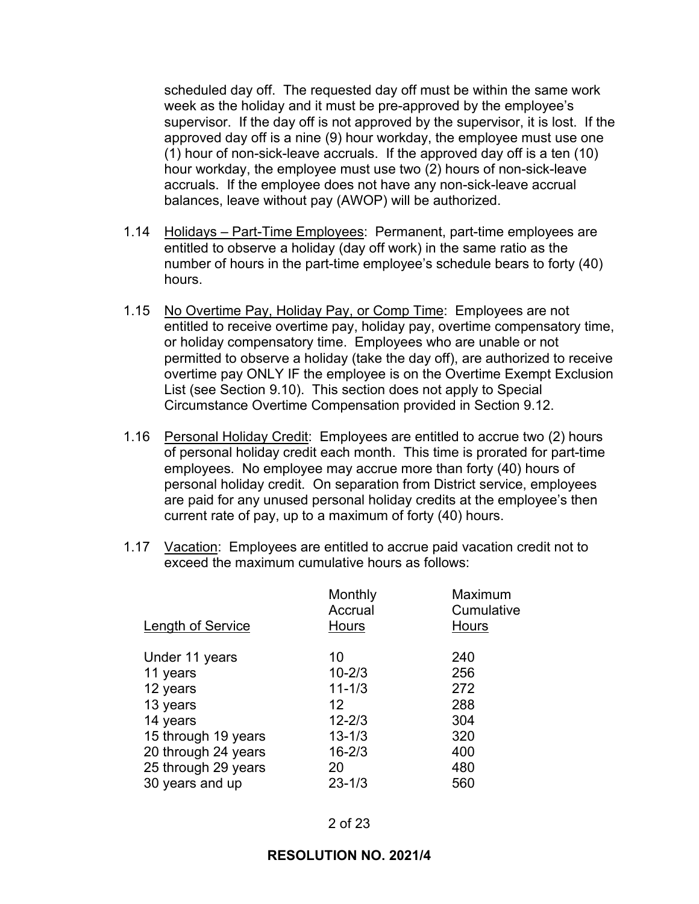scheduled day off. The requested day off must be within the same work week as the holiday and it must be pre-approved by the employee's supervisor. If the day off is not approved by the supervisor, it is lost. If the approved day off is a nine (9) hour workday, the employee must use one (1) hour of non-sick-leave accruals. If the approved day off is a ten (10) hour workday, the employee must use two (2) hours of non-sick-leave accruals. If the employee does not have any non-sick-leave accrual balances, leave without pay (AWOP) will be authorized.

- 1.14 Holidays Part-Time Employees: Permanent, part-time employees are entitled to observe a holiday (day off work) in the same ratio as the number of hours in the part-time employee's schedule bears to forty (40) hours.
- 1.15 No Overtime Pay, Holiday Pay, or Comp Time: Employees are not entitled to receive overtime pay, holiday pay, overtime compensatory time, or holiday compensatory time. Employees who are unable or not permitted to observe a holiday (take the day off), are authorized to receive overtime pay ONLY IF the employee is on the Overtime Exempt Exclusion List (see Section 9.10). This section does not apply to Special Circumstance Overtime Compensation provided in Section 9.12.
- 1.16 Personal Holiday Credit: Employees are entitled to accrue two (2) hours of personal holiday credit each month. This time is prorated for part-time employees. No employee may accrue more than forty (40) hours of personal holiday credit. On separation from District service, employees are paid for any unused personal holiday credits at the employee's then current rate of pay, up to a maximum of forty (40) hours.
- 1.17 Vacation: Employees are entitled to accrue paid vacation credit not to exceed the maximum cumulative hours as follows:

| <b>Length of Service</b> | Monthly<br>Accrual<br>Hours | Maximum<br>Cumulative<br>Hours |
|--------------------------|-----------------------------|--------------------------------|
| Under 11 years           | 10                          | 240                            |
| 11 years                 | $10 - 2/3$                  | 256                            |
| 12 years                 | $11 - 1/3$                  | 272                            |
| 13 years                 | $12 \,$                     | 288                            |
| 14 years                 | $12 - 2/3$                  | 304                            |
| 15 through 19 years      | $13 - 1/3$                  | 320                            |
| 20 through 24 years      | $16 - 2/3$                  | 400                            |
| 25 through 29 years      | 20                          | 480                            |
| 30 years and up          | $23 - 1/3$                  | 560                            |
|                          |                             |                                |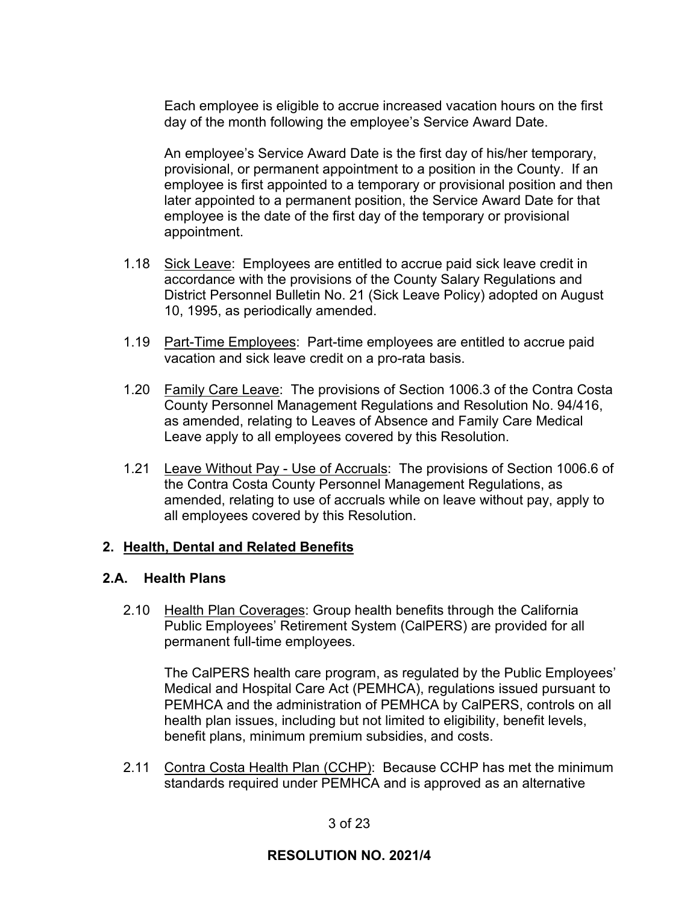Each employee is eligible to accrue increased vacation hours on the first day of the month following the employee's Service Award Date.

An employee's Service Award Date is the first day of his/her temporary, provisional, or permanent appointment to a position in the County. If an employee is first appointed to a temporary or provisional position and then later appointed to a permanent position, the Service Award Date for that employee is the date of the first day of the temporary or provisional appointment.

- 1.18 Sick Leave: Employees are entitled to accrue paid sick leave credit in accordance with the provisions of the County Salary Regulations and District Personnel Bulletin No. 21 (Sick Leave Policy) adopted on August 10, 1995, as periodically amended.
- 1.19 Part-Time Employees: Part-time employees are entitled to accrue paid vacation and sick leave credit on a pro-rata basis.
- 1.20 Family Care Leave: The provisions of Section 1006.3 of the Contra Costa County Personnel Management Regulations and Resolution No. 94/416, as amended, relating to Leaves of Absence and Family Care Medical Leave apply to all employees covered by this Resolution.
- 1.21 Leave Without Pay Use of Accruals: The provisions of Section 1006.6 of the Contra Costa County Personnel Management Regulations, as amended, relating to use of accruals while on leave without pay, apply to all employees covered by this Resolution.

## **2. Health, Dental and Related Benefits**

## **2.A. Health Plans**

2.10 Health Plan Coverages: Group health benefits through the California Public Employees' Retirement System (CalPERS) are provided for all permanent full-time employees.

The CalPERS health care program, as regulated by the Public Employees' Medical and Hospital Care Act (PEMHCA), regulations issued pursuant to PEMHCA and the administration of PEMHCA by CalPERS, controls on all health plan issues, including but not limited to eligibility, benefit levels, benefit plans, minimum premium subsidies, and costs.

2.11 Contra Costa Health Plan (CCHP): Because CCHP has met the minimum standards required under PEMHCA and is approved as an alternative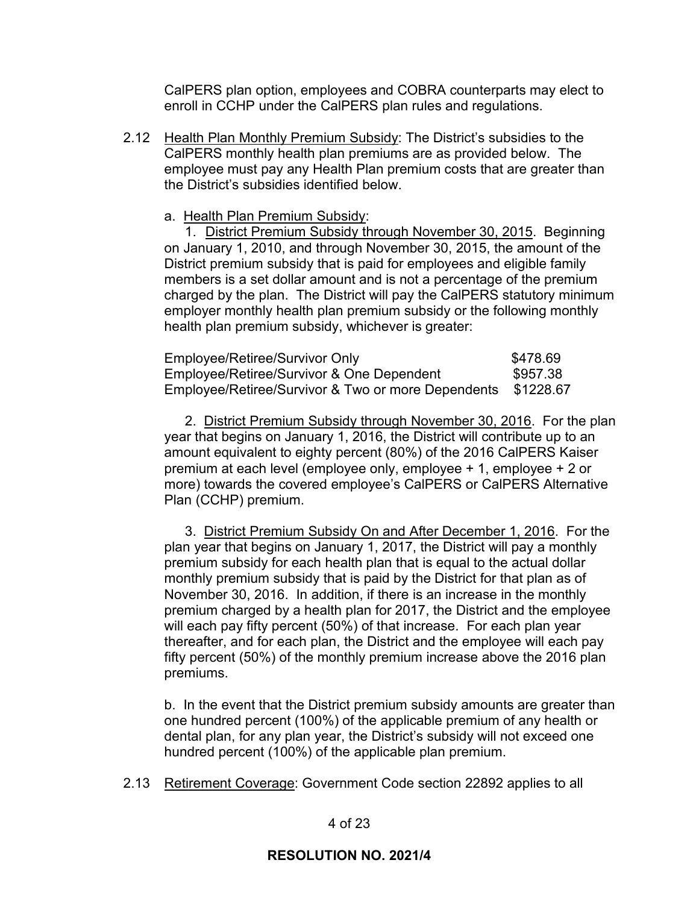CalPERS plan option, employees and COBRA counterparts may elect to enroll in CCHP under the CalPERS plan rules and regulations.

2.12 Health Plan Monthly Premium Subsidy: The District's subsidies to the CalPERS monthly health plan premiums are as provided below. The employee must pay any Health Plan premium costs that are greater than the District's subsidies identified below.

a. Health Plan Premium Subsidy:

1. District Premium Subsidy through November 30, 2015. Beginning on January 1, 2010, and through November 30, 2015, the amount of the District premium subsidy that is paid for employees and eligible family members is a set dollar amount and is not a percentage of the premium charged by the plan. The District will pay the CalPERS statutory minimum employer monthly health plan premium subsidy or the following monthly health plan premium subsidy, whichever is greater:

| Employee/Retiree/Survivor Only                               | \$478.69 |
|--------------------------------------------------------------|----------|
| Employee/Retiree/Survivor & One Dependent                    | \$957.38 |
| Employee/Retiree/Survivor & Two or more Dependents \$1228.67 |          |

2. District Premium Subsidy through November 30, 2016. For the plan year that begins on January 1, 2016, the District will contribute up to an amount equivalent to eighty percent (80%) of the 2016 CalPERS Kaiser premium at each level (employee only, employee + 1, employee + 2 or more) towards the covered employee's CalPERS or CalPERS Alternative Plan (CCHP) premium.

3. District Premium Subsidy On and After December 1, 2016. For the plan year that begins on January 1, 2017, the District will pay a monthly premium subsidy for each health plan that is equal to the actual dollar monthly premium subsidy that is paid by the District for that plan as of November 30, 2016. In addition, if there is an increase in the monthly premium charged by a health plan for 2017, the District and the employee will each pay fifty percent (50%) of that increase. For each plan year thereafter, and for each plan, the District and the employee will each pay fifty percent (50%) of the monthly premium increase above the 2016 plan premiums.

b. In the event that the District premium subsidy amounts are greater than one hundred percent (100%) of the applicable premium of any health or dental plan, for any plan year, the District's subsidy will not exceed one hundred percent (100%) of the applicable plan premium.

2.13 Retirement Coverage: Government Code section 22892 applies to all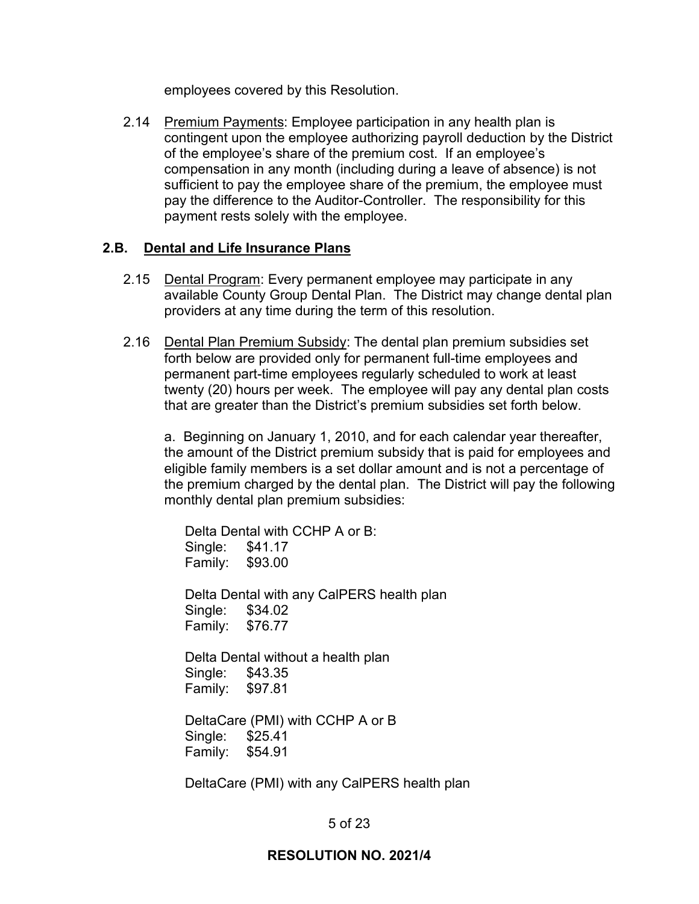employees covered by this Resolution.

2.14 Premium Payments: Employee participation in any health plan is contingent upon the employee authorizing payroll deduction by the District of the employee's share of the premium cost. If an employee's compensation in any month (including during a leave of absence) is not sufficient to pay the employee share of the premium, the employee must pay the difference to the Auditor-Controller. The responsibility for this payment rests solely with the employee.

## **2.B. Dental and Life Insurance Plans**

- 2.15 Dental Program: Every permanent employee may participate in any available County Group Dental Plan. The District may change dental plan providers at any time during the term of this resolution.
- 2.16 Dental Plan Premium Subsidy: The dental plan premium subsidies set forth below are provided only for permanent full-time employees and permanent part-time employees regularly scheduled to work at least twenty (20) hours per week. The employee will pay any dental plan costs that are greater than the District's premium subsidies set forth below.

a. Beginning on January 1, 2010, and for each calendar year thereafter, the amount of the District premium subsidy that is paid for employees and eligible family members is a set dollar amount and is not a percentage of the premium charged by the dental plan. The District will pay the following monthly dental plan premium subsidies:

Delta Dental with CCHP A or B: Single: \$41.17 Family: \$93.00

Delta Dental with any CalPERS health plan Single: \$34.02 Family: \$76.77

Delta Dental without a health plan Single: \$43.35 Family: \$97.81

DeltaCare (PMI) with CCHP A or B Single: \$25.41 Family: \$54.91

DeltaCare (PMI) with any CalPERS health plan

# 5 of 23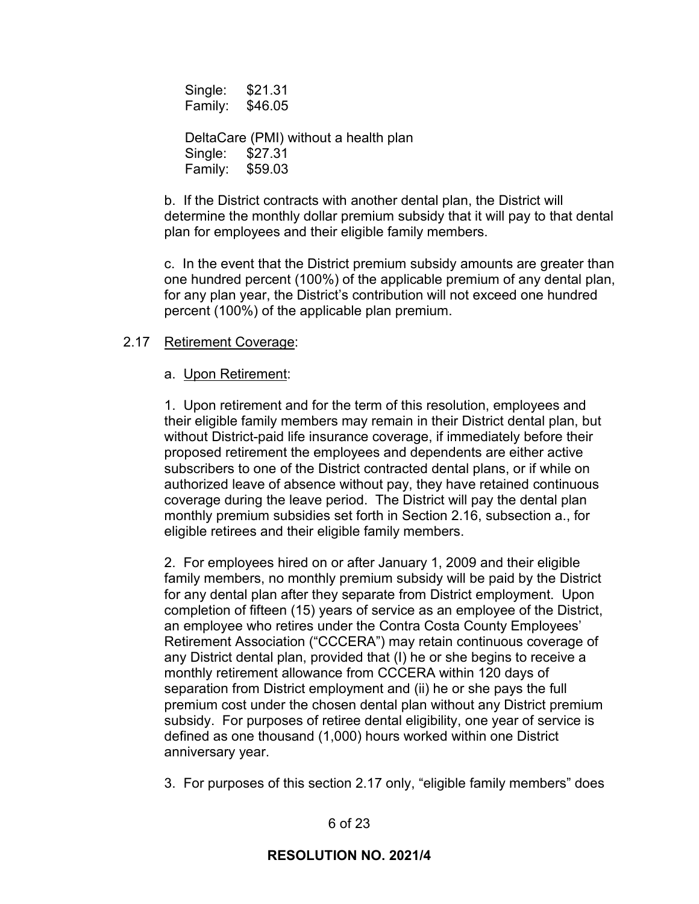Single: \$21.31 Family: \$46.05

DeltaCare (PMI) without a health plan Single: \$27.31 Family: \$59.03

b. If the District contracts with another dental plan, the District will determine the monthly dollar premium subsidy that it will pay to that dental plan for employees and their eligible family members.

c. In the event that the District premium subsidy amounts are greater than one hundred percent (100%) of the applicable premium of any dental plan, for any plan year, the District's contribution will not exceed one hundred percent (100%) of the applicable plan premium.

## 2.17 Retirement Coverage:

### a. Upon Retirement:

1. Upon retirement and for the term of this resolution, employees and their eligible family members may remain in their District dental plan, but without District-paid life insurance coverage, if immediately before their proposed retirement the employees and dependents are either active subscribers to one of the District contracted dental plans, or if while on authorized leave of absence without pay, they have retained continuous coverage during the leave period. The District will pay the dental plan monthly premium subsidies set forth in Section 2.16, subsection a., for eligible retirees and their eligible family members.

2. For employees hired on or after January 1, 2009 and their eligible family members, no monthly premium subsidy will be paid by the District for any dental plan after they separate from District employment. Upon completion of fifteen (15) years of service as an employee of the District, an employee who retires under the Contra Costa County Employees' Retirement Association ("CCCERA") may retain continuous coverage of any District dental plan, provided that (I) he or she begins to receive a monthly retirement allowance from CCCERA within 120 days of separation from District employment and (ii) he or she pays the full premium cost under the chosen dental plan without any District premium subsidy. For purposes of retiree dental eligibility, one year of service is defined as one thousand (1,000) hours worked within one District anniversary year.

3. For purposes of this section 2.17 only, "eligible family members" does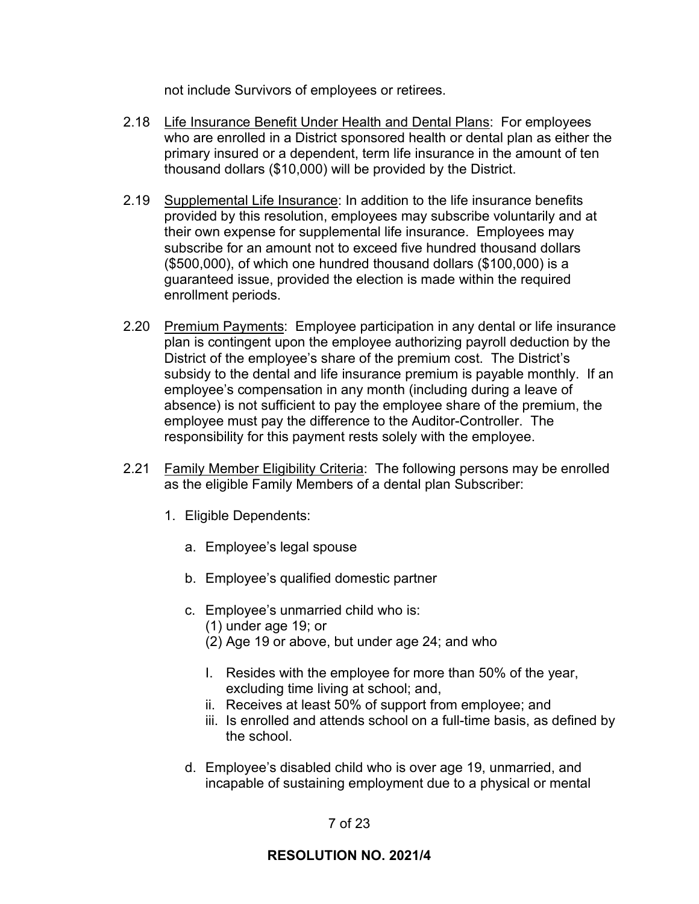not include Survivors of employees or retirees.

- 2.18 Life Insurance Benefit Under Health and Dental Plans: For employees who are enrolled in a District sponsored health or dental plan as either the primary insured or a dependent, term life insurance in the amount of ten thousand dollars (\$10,000) will be provided by the District.
- 2.19 Supplemental Life Insurance: In addition to the life insurance benefits provided by this resolution, employees may subscribe voluntarily and at their own expense for supplemental life insurance. Employees may subscribe for an amount not to exceed five hundred thousand dollars (\$500,000), of which one hundred thousand dollars (\$100,000) is a guaranteed issue, provided the election is made within the required enrollment periods.
- 2.20 Premium Payments: Employee participation in any dental or life insurance plan is contingent upon the employee authorizing payroll deduction by the District of the employee's share of the premium cost. The District's subsidy to the dental and life insurance premium is payable monthly. If an employee's compensation in any month (including during a leave of absence) is not sufficient to pay the employee share of the premium, the employee must pay the difference to the Auditor-Controller. The responsibility for this payment rests solely with the employee.
- 2.21 Family Member Eligibility Criteria: The following persons may be enrolled as the eligible Family Members of a dental plan Subscriber:
	- 1. Eligible Dependents:
		- a. Employee's legal spouse
		- b. Employee's qualified domestic partner
		- c. Employee's unmarried child who is:
			- (1) under age 19; or
			- (2) Age 19 or above, but under age 24; and who
			- I. Resides with the employee for more than 50% of the year, excluding time living at school; and,
			- ii. Receives at least 50% of support from employee; and
			- iii. Is enrolled and attends school on a full-time basis, as defined by the school.
		- d. Employee's disabled child who is over age 19, unmarried, and incapable of sustaining employment due to a physical or mental

# 7 of 23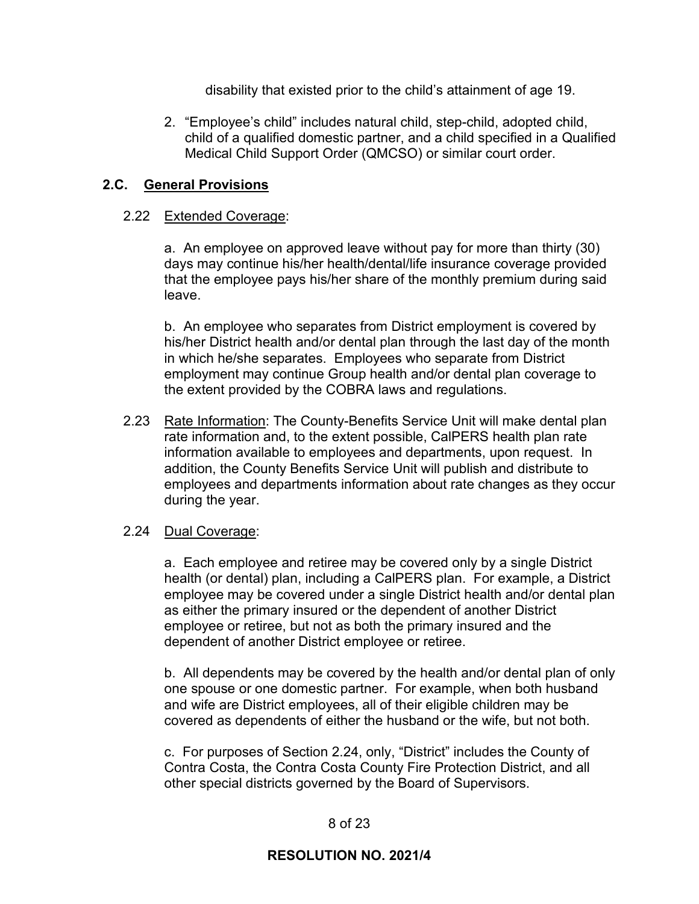disability that existed prior to the child's attainment of age 19.

2. "Employee's child" includes natural child, step-child, adopted child, child of a qualified domestic partner, and a child specified in a Qualified Medical Child Support Order (QMCSO) or similar court order.

## **2.C. General Provisions**

### 2.22 Extended Coverage:

a. An employee on approved leave without pay for more than thirty (30) days may continue his/her health/dental/life insurance coverage provided that the employee pays his/her share of the monthly premium during said leave.

b. An employee who separates from District employment is covered by his/her District health and/or dental plan through the last day of the month in which he/she separates. Employees who separate from District employment may continue Group health and/or dental plan coverage to the extent provided by the COBRA laws and regulations.

2.23 Rate Information: The County-Benefits Service Unit will make dental plan rate information and, to the extent possible, CalPERS health plan rate information available to employees and departments, upon request. In addition, the County Benefits Service Unit will publish and distribute to employees and departments information about rate changes as they occur during the year.

## 2.24 Dual Coverage:

a. Each employee and retiree may be covered only by a single District health (or dental) plan, including a CalPERS plan. For example, a District employee may be covered under a single District health and/or dental plan as either the primary insured or the dependent of another District employee or retiree, but not as both the primary insured and the dependent of another District employee or retiree.

b. All dependents may be covered by the health and/or dental plan of only one spouse or one domestic partner. For example, when both husband and wife are District employees, all of their eligible children may be covered as dependents of either the husband or the wife, but not both.

c. For purposes of Section 2.24, only, "District" includes the County of Contra Costa, the Contra Costa County Fire Protection District, and all other special districts governed by the Board of Supervisors.

## 8 of 23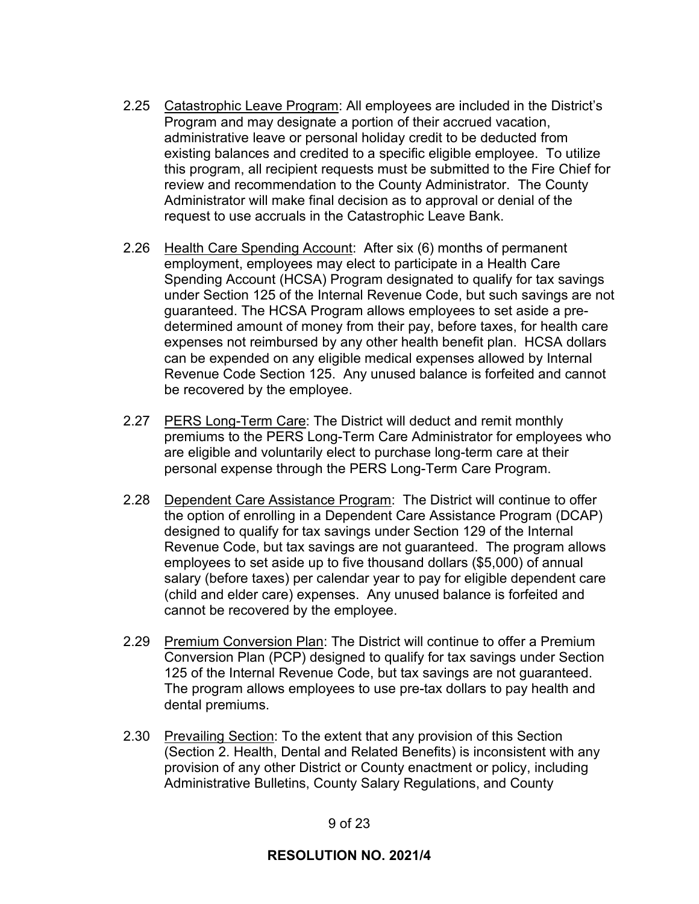- 2.25 Catastrophic Leave Program: All employees are included in the District's Program and may designate a portion of their accrued vacation, administrative leave or personal holiday credit to be deducted from existing balances and credited to a specific eligible employee. To utilize this program, all recipient requests must be submitted to the Fire Chief for review and recommendation to the County Administrator. The County Administrator will make final decision as to approval or denial of the request to use accruals in the Catastrophic Leave Bank.
- 2.26 Health Care Spending Account: After six (6) months of permanent employment, employees may elect to participate in a Health Care Spending Account (HCSA) Program designated to qualify for tax savings under Section 125 of the Internal Revenue Code, but such savings are not guaranteed. The HCSA Program allows employees to set aside a predetermined amount of money from their pay, before taxes, for health care expenses not reimbursed by any other health benefit plan. HCSA dollars can be expended on any eligible medical expenses allowed by Internal Revenue Code Section 125. Any unused balance is forfeited and cannot be recovered by the employee.
- 2.27 PERS Long-Term Care: The District will deduct and remit monthly premiums to the PERS Long-Term Care Administrator for employees who are eligible and voluntarily elect to purchase long-term care at their personal expense through the PERS Long-Term Care Program.
- 2.28 Dependent Care Assistance Program: The District will continue to offer the option of enrolling in a Dependent Care Assistance Program (DCAP) designed to qualify for tax savings under Section 129 of the Internal Revenue Code, but tax savings are not guaranteed. The program allows employees to set aside up to five thousand dollars (\$5,000) of annual salary (before taxes) per calendar year to pay for eligible dependent care (child and elder care) expenses. Any unused balance is forfeited and cannot be recovered by the employee.
- 2.29 Premium Conversion Plan: The District will continue to offer a Premium Conversion Plan (PCP) designed to qualify for tax savings under Section 125 of the Internal Revenue Code, but tax savings are not guaranteed. The program allows employees to use pre-tax dollars to pay health and dental premiums.
- 2.30 Prevailing Section: To the extent that any provision of this Section (Section 2. Health, Dental and Related Benefits) is inconsistent with any provision of any other District or County enactment or policy, including Administrative Bulletins, County Salary Regulations, and County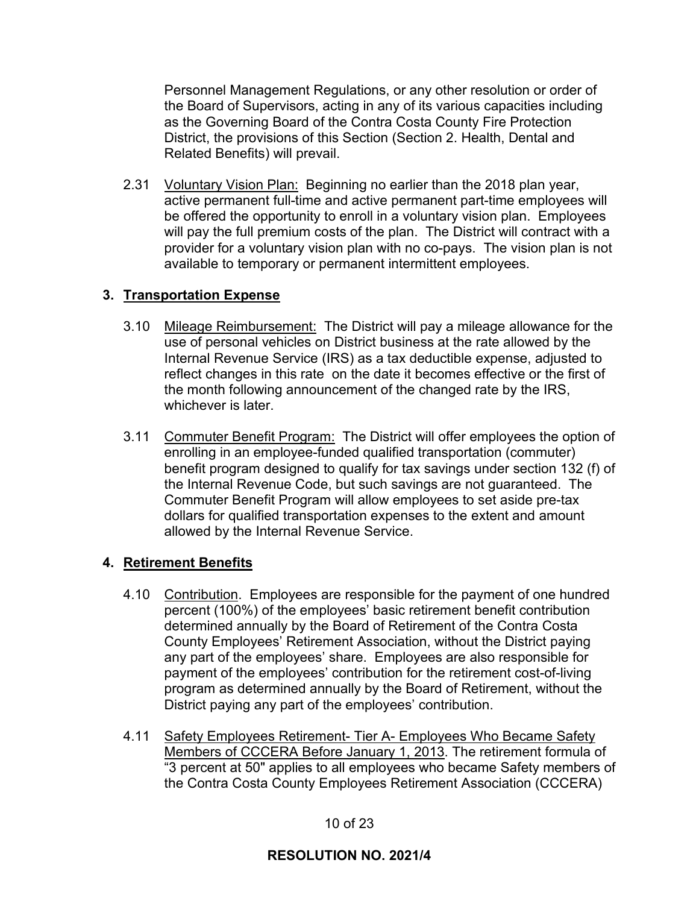Personnel Management Regulations, or any other resolution or order of the Board of Supervisors, acting in any of its various capacities including as the Governing Board of the Contra Costa County Fire Protection District, the provisions of this Section (Section 2. Health, Dental and Related Benefits) will prevail.

2.31 Voluntary Vision Plan: Beginning no earlier than the 2018 plan year, active permanent full-time and active permanent part-time employees will be offered the opportunity to enroll in a voluntary vision plan. Employees will pay the full premium costs of the plan. The District will contract with a provider for a voluntary vision plan with no co-pays. The vision plan is not available to temporary or permanent intermittent employees.

# **3. Transportation Expense**

- 3.10 Mileage Reimbursement: The District will pay a mileage allowance for the use of personal vehicles on District business at the rate allowed by the Internal Revenue Service (IRS) as a tax deductible expense, adjusted to reflect changes in this rate on the date it becomes effective or the first of the month following announcement of the changed rate by the IRS, whichever is later.
- 3.11 Commuter Benefit Program: The District will offer employees the option of enrolling in an employee-funded qualified transportation (commuter) benefit program designed to qualify for tax savings under section 132 (f) of the Internal Revenue Code, but such savings are not guaranteed. The Commuter Benefit Program will allow employees to set aside pre-tax dollars for qualified transportation expenses to the extent and amount allowed by the Internal Revenue Service.

# **4. Retirement Benefits**

- 4.10 Contribution. Employees are responsible for the payment of one hundred percent (100%) of the employees' basic retirement benefit contribution determined annually by the Board of Retirement of the Contra Costa County Employees' Retirement Association, without the District paying any part of the employees' share. Employees are also responsible for payment of the employees' contribution for the retirement cost-of-living program as determined annually by the Board of Retirement, without the District paying any part of the employees' contribution.
- 4.11 Safety Employees Retirement- Tier A- Employees Who Became Safety Members of CCCERA Before January 1, 2013. The retirement formula of "3 percent at 50" applies to all employees who became Safety members of the Contra Costa County Employees Retirement Association (CCCERA)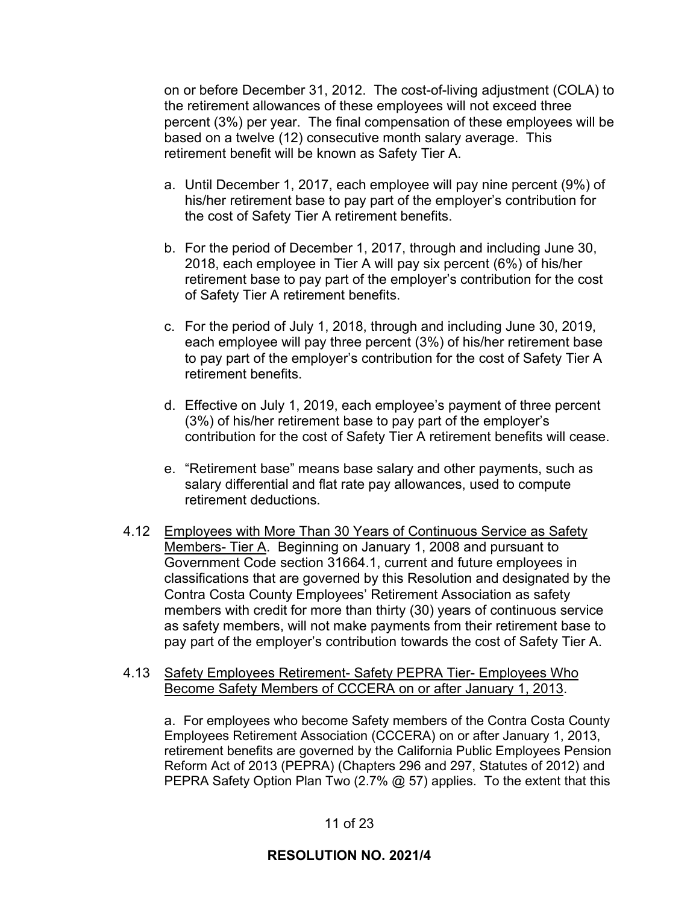on or before December 31, 2012. The cost-of-living adjustment (COLA) to the retirement allowances of these employees will not exceed three percent (3%) per year. The final compensation of these employees will be based on a twelve (12) consecutive month salary average. This retirement benefit will be known as Safety Tier A.

- a. Until December 1, 2017, each employee will pay nine percent (9%) of his/her retirement base to pay part of the employer's contribution for the cost of Safety Tier A retirement benefits.
- b. For the period of December 1, 2017, through and including June 30, 2018, each employee in Tier A will pay six percent (6%) of his/her retirement base to pay part of the employer's contribution for the cost of Safety Tier A retirement benefits.
- c. For the period of July 1, 2018, through and including June 30, 2019, each employee will pay three percent (3%) of his/her retirement base to pay part of the employer's contribution for the cost of Safety Tier A retirement benefits.
- d. Effective on July 1, 2019, each employee's payment of three percent (3%) of his/her retirement base to pay part of the employer's contribution for the cost of Safety Tier A retirement benefits will cease.
- e. "Retirement base" means base salary and other payments, such as salary differential and flat rate pay allowances, used to compute retirement deductions.
- 4.12 Employees with More Than 30 Years of Continuous Service as Safety Members- Tier A. Beginning on January 1, 2008 and pursuant to Government Code section 31664.1, current and future employees in classifications that are governed by this Resolution and designated by the Contra Costa County Employees' Retirement Association as safety members with credit for more than thirty (30) years of continuous service as safety members, will not make payments from their retirement base to pay part of the employer's contribution towards the cost of Safety Tier A.

### 4.13 Safety Employees Retirement- Safety PEPRA Tier- Employees Who Become Safety Members of CCCERA on or after January 1, 2013.

a. For employees who become Safety members of the Contra Costa County Employees Retirement Association (CCCERA) on or after January 1, 2013, retirement benefits are governed by the California Public Employees Pension Reform Act of 2013 (PEPRA) (Chapters 296 and 297, Statutes of 2012) and PEPRA Safety Option Plan Two (2.7% @ 57) applies. To the extent that this

## 11 of 23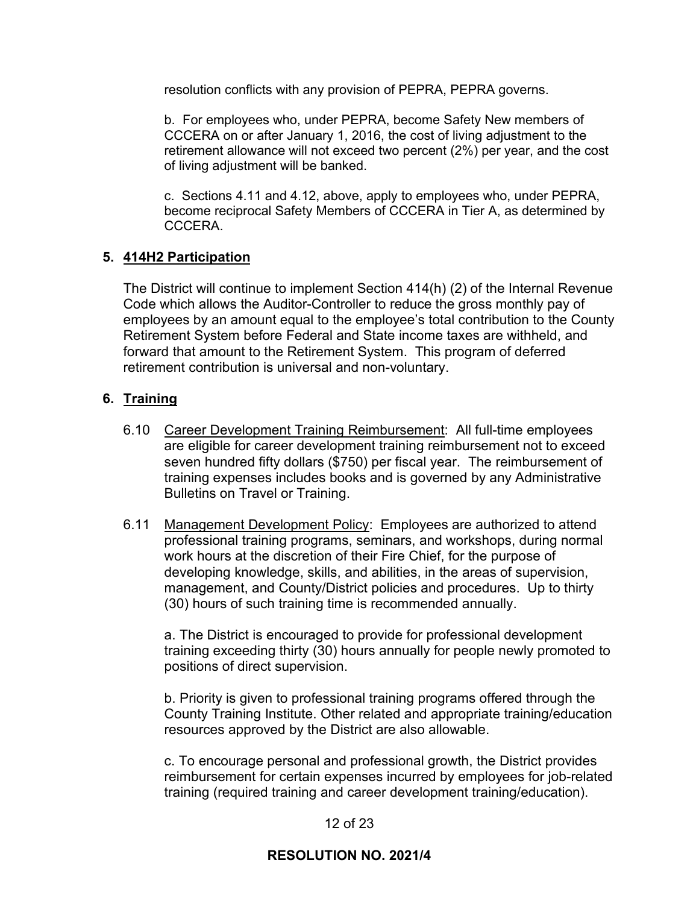resolution conflicts with any provision of PEPRA, PEPRA governs.

b. For employees who, under PEPRA, become Safety New members of CCCERA on or after January 1, 2016, the cost of living adjustment to the retirement allowance will not exceed two percent (2%) per year, and the cost of living adjustment will be banked.

c. Sections 4.11 and 4.12, above, apply to employees who, under PEPRA, become reciprocal Safety Members of CCCERA in Tier A, as determined by CCCERA.

## **5. 414H2 Participation**

The District will continue to implement Section 414(h) (2) of the Internal Revenue Code which allows the Auditor-Controller to reduce the gross monthly pay of employees by an amount equal to the employee's total contribution to the County Retirement System before Federal and State income taxes are withheld, and forward that amount to the Retirement System. This program of deferred retirement contribution is universal and non-voluntary.

## **6. Training**

- 6.10 Career Development Training Reimbursement: All full-time employees are eligible for career development training reimbursement not to exceed seven hundred fifty dollars (\$750) per fiscal year. The reimbursement of training expenses includes books and is governed by any Administrative Bulletins on Travel or Training.
- 6.11 Management Development Policy: Employees are authorized to attend professional training programs, seminars, and workshops, during normal work hours at the discretion of their Fire Chief, for the purpose of developing knowledge, skills, and abilities, in the areas of supervision, management, and County/District policies and procedures. Up to thirty (30) hours of such training time is recommended annually.

a. The District is encouraged to provide for professional development training exceeding thirty (30) hours annually for people newly promoted to positions of direct supervision.

b. Priority is given to professional training programs offered through the County Training Institute. Other related and appropriate training/education resources approved by the District are also allowable.

c. To encourage personal and professional growth, the District provides reimbursement for certain expenses incurred by employees for job-related training (required training and career development training/education).

## 12 of 23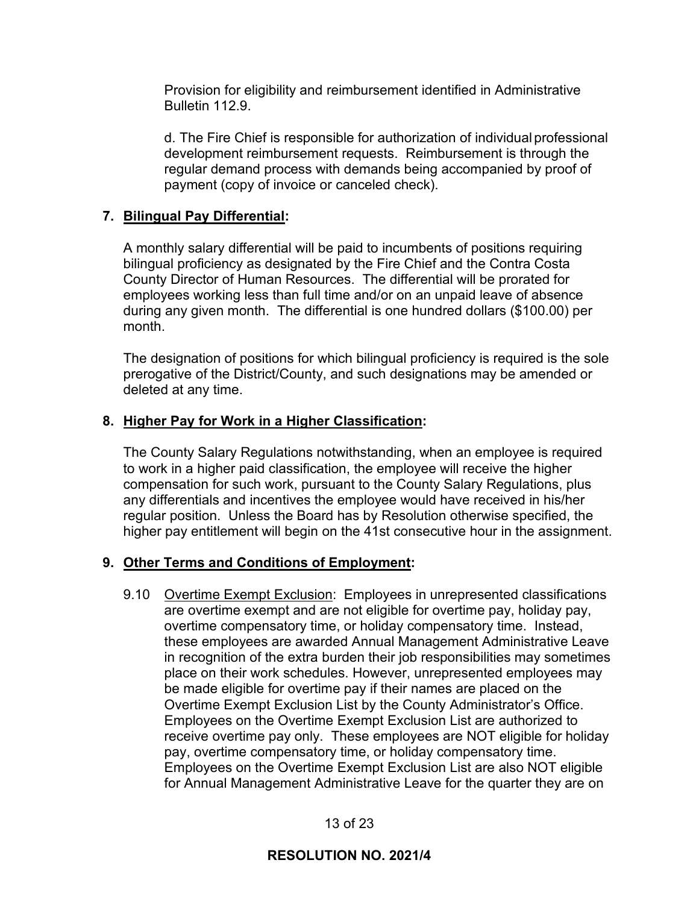Provision for eligibility and reimbursement identified in Administrative Bulletin 112.9.

d. The Fire Chief is responsible for authorization of individualprofessional development reimbursement requests. Reimbursement is through the regular demand process with demands being accompanied by proof of payment (copy of invoice or canceled check).

## **7. Bilingual Pay Differential:**

A monthly salary differential will be paid to incumbents of positions requiring bilingual proficiency as designated by the Fire Chief and the Contra Costa County Director of Human Resources. The differential will be prorated for employees working less than full time and/or on an unpaid leave of absence during any given month. The differential is one hundred dollars (\$100.00) per month.

The designation of positions for which bilingual proficiency is required is the sole prerogative of the District/County, and such designations may be amended or deleted at any time.

## **8. Higher Pay for Work in a Higher Classification:**

The County Salary Regulations notwithstanding, when an employee is required to work in a higher paid classification, the employee will receive the higher compensation for such work, pursuant to the County Salary Regulations, plus any differentials and incentives the employee would have received in his/her regular position. Unless the Board has by Resolution otherwise specified, the higher pay entitlement will begin on the 41st consecutive hour in the assignment.

# **9. Other Terms and Conditions of Employment:**

9.10 Overtime Exempt Exclusion: Employees in unrepresented classifications are overtime exempt and are not eligible for overtime pay, holiday pay, overtime compensatory time, or holiday compensatory time. Instead, these employees are awarded Annual Management Administrative Leave in recognition of the extra burden their job responsibilities may sometimes place on their work schedules. However, unrepresented employees may be made eligible for overtime pay if their names are placed on the Overtime Exempt Exclusion List by the County Administrator's Office. Employees on the Overtime Exempt Exclusion List are authorized to receive overtime pay only. These employees are NOT eligible for holiday pay, overtime compensatory time, or holiday compensatory time. Employees on the Overtime Exempt Exclusion List are also NOT eligible for Annual Management Administrative Leave for the quarter they are on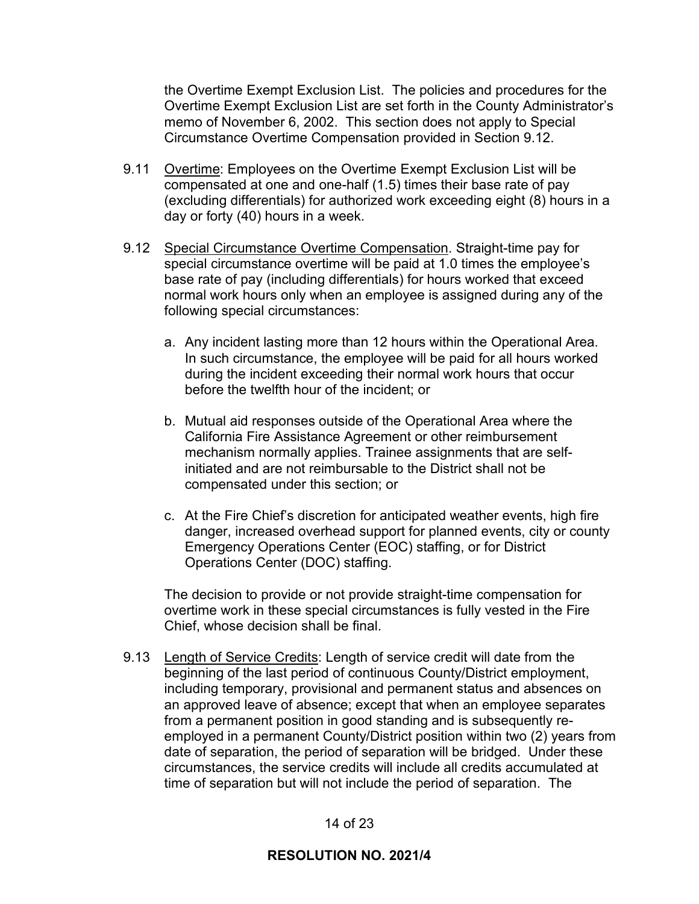the Overtime Exempt Exclusion List. The policies and procedures for the Overtime Exempt Exclusion List are set forth in the County Administrator's memo of November 6, 2002. This section does not apply to Special Circumstance Overtime Compensation provided in Section 9.12.

- 9.11 Overtime: Employees on the Overtime Exempt Exclusion List will be compensated at one and one-half (1.5) times their base rate of pay (excluding differentials) for authorized work exceeding eight (8) hours in a day or forty (40) hours in a week.
- 9.12 Special Circumstance Overtime Compensation. Straight-time pay for special circumstance overtime will be paid at 1.0 times the employee's base rate of pay (including differentials) for hours worked that exceed normal work hours only when an employee is assigned during any of the following special circumstances:
	- a. Any incident lasting more than 12 hours within the Operational Area. In such circumstance, the employee will be paid for all hours worked during the incident exceeding their normal work hours that occur before the twelfth hour of the incident; or
	- b. Mutual aid responses outside of the Operational Area where the California Fire Assistance Agreement or other reimbursement mechanism normally applies. Trainee assignments that are selfinitiated and are not reimbursable to the District shall not be compensated under this section; or
	- c. At the Fire Chief's discretion for anticipated weather events, high fire danger, increased overhead support for planned events, city or county Emergency Operations Center (EOC) staffing, or for District Operations Center (DOC) staffing.

The decision to provide or not provide straight-time compensation for overtime work in these special circumstances is fully vested in the Fire Chief, whose decision shall be final.

9.13 Length of Service Credits: Length of service credit will date from the beginning of the last period of continuous County/District employment, including temporary, provisional and permanent status and absences on an approved leave of absence; except that when an employee separates from a permanent position in good standing and is subsequently reemployed in a permanent County/District position within two (2) years from date of separation, the period of separation will be bridged. Under these circumstances, the service credits will include all credits accumulated at time of separation but will not include the period of separation. The

14 of 23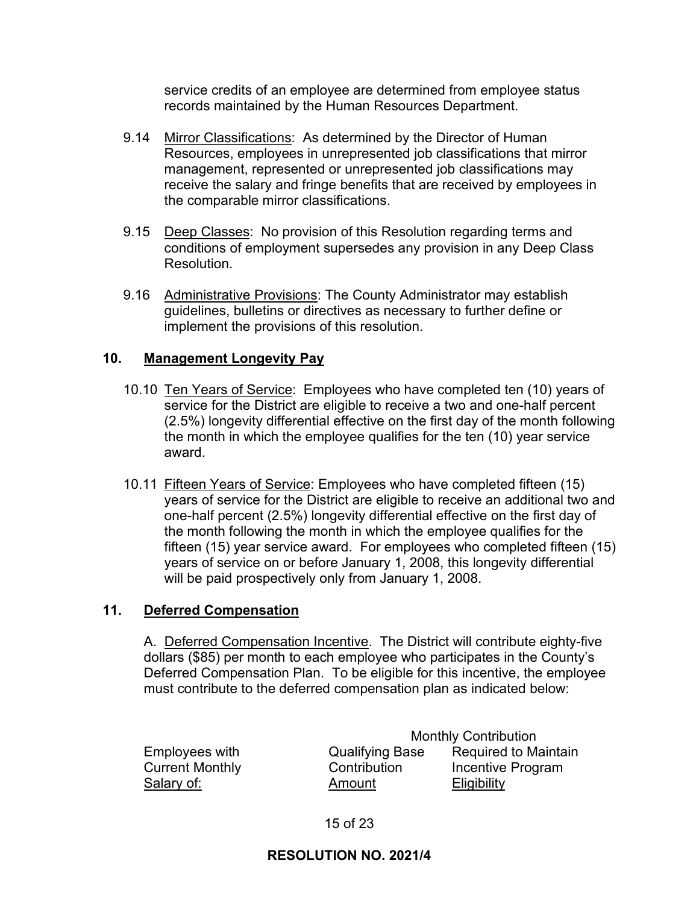service credits of an employee are determined from employee status records maintained by the Human Resources Department.

- 9.14 Mirror Classifications: As determined by the Director of Human Resources, employees in unrepresented job classifications that mirror management, represented or unrepresented job classifications may receive the salary and fringe benefits that are received by employees in the comparable mirror classifications.
- 9.15 Deep Classes: No provision of this Resolution regarding terms and conditions of employment supersedes any provision in any Deep Class Resolution.
- 9.16 Administrative Provisions: The County Administrator may establish guidelines, bulletins or directives as necessary to further define or implement the provisions of this resolution.

## **10. Management Longevity Pay**

- 10.10 Ten Years of Service: Employees who have completed ten (10) years of service for the District are eligible to receive a two and one-half percent (2.5%) longevity differential effective on the first day of the month following the month in which the employee qualifies for the ten (10) year service award.
- 10.11 Fifteen Years of Service: Employees who have completed fifteen (15) years of service for the District are eligible to receive an additional two and one-half percent (2.5%) longevity differential effective on the first day of the month following the month in which the employee qualifies for the fifteen (15) year service award. For employees who completed fifteen (15) years of service on or before January 1, 2008, this longevity differential will be paid prospectively only from January 1, 2008.

### **11. Deferred Compensation**

A. Deferred Compensation Incentive. The District will contribute eighty-five dollars (\$85) per month to each employee who participates in the County's Deferred Compensation Plan. To be eligible for this incentive, the employee must contribute to the deferred compensation plan as indicated below:

Monthly Contribution Employees with Qualifying Base Required to Maintain Current Monthly **Contribution** Incentive Program Salary of: Changel and Amount Changel Eligibility

15 of 23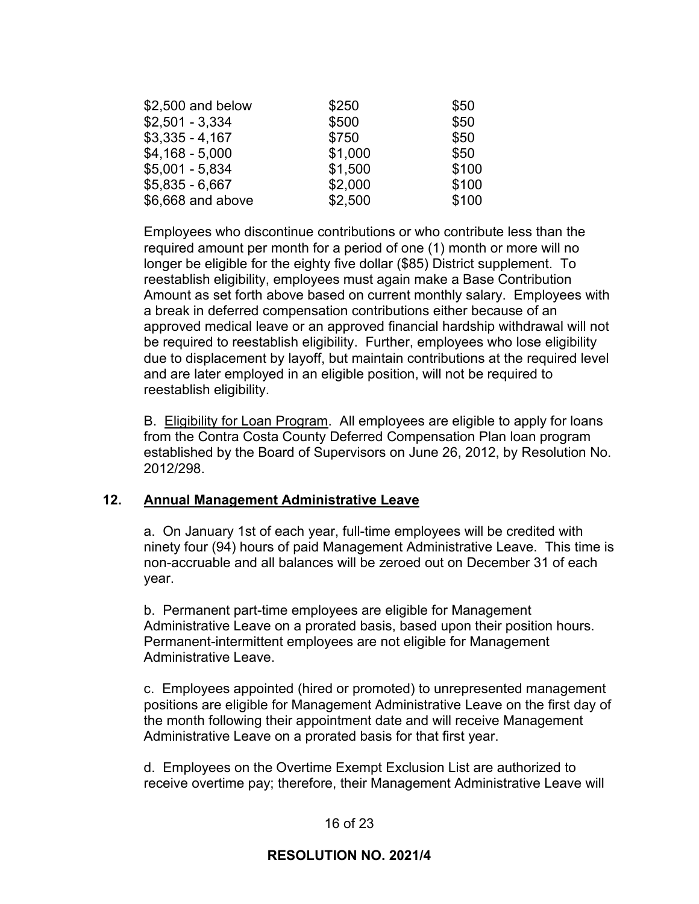| \$2,500 and below | \$250   | \$50  |
|-------------------|---------|-------|
| $$2,501 - 3,334$  | \$500   | \$50  |
| $$3,335 - 4,167$  | \$750   | \$50  |
| $$4,168 - 5,000$  | \$1,000 | \$50  |
| $$5,001 - 5,834$  | \$1,500 | \$100 |
| $$5,835 - 6,667$  | \$2,000 | \$100 |
| \$6,668 and above | \$2,500 | \$100 |

Employees who discontinue contributions or who contribute less than the required amount per month for a period of one (1) month or more will no longer be eligible for the eighty five dollar (\$85) District supplement. To reestablish eligibility, employees must again make a Base Contribution Amount as set forth above based on current monthly salary. Employees with a break in deferred compensation contributions either because of an approved medical leave or an approved financial hardship withdrawal will not be required to reestablish eligibility. Further, employees who lose eligibility due to displacement by layoff, but maintain contributions at the required level and are later employed in an eligible position, will not be required to reestablish eligibility.

B. Eligibility for Loan Program. All employees are eligible to apply for loans from the Contra Costa County Deferred Compensation Plan loan program established by the Board of Supervisors on June 26, 2012, by Resolution No. 2012/298.

### **12. Annual Management Administrative Leave**

a. On January 1st of each year, full-time employees will be credited with ninety four (94) hours of paid Management Administrative Leave. This time is non-accruable and all balances will be zeroed out on December 31 of each year.

b. Permanent part-time employees are eligible for Management Administrative Leave on a prorated basis, based upon their position hours. Permanent-intermittent employees are not eligible for Management Administrative Leave.

c. Employees appointed (hired or promoted) to unrepresented management positions are eligible for Management Administrative Leave on the first day of the month following their appointment date and will receive Management Administrative Leave on a prorated basis for that first year.

d. Employees on the Overtime Exempt Exclusion List are authorized to receive overtime pay; therefore, their Management Administrative Leave will

## 16 of 23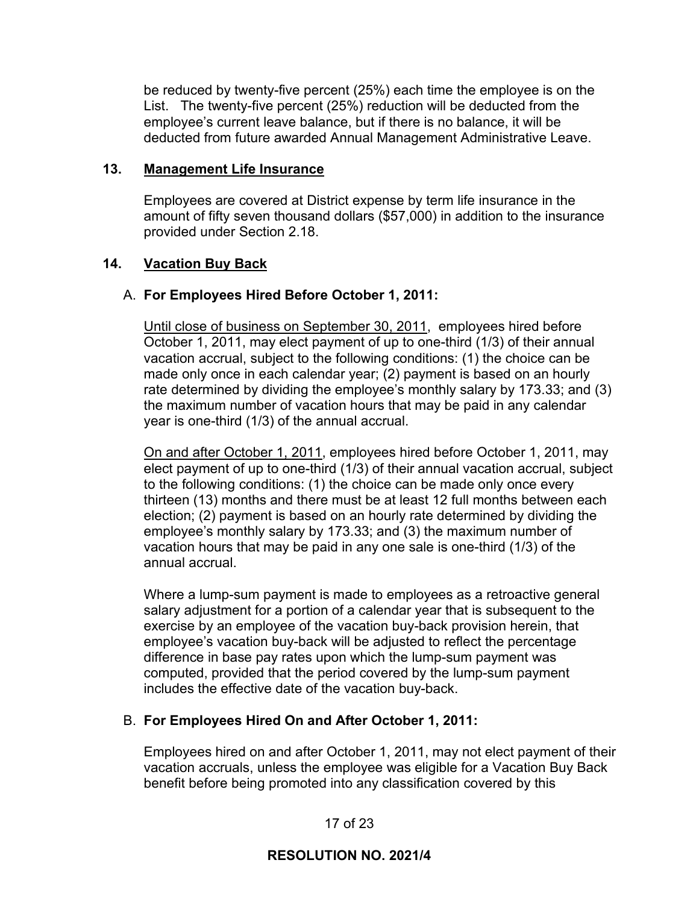be reduced by twenty-five percent (25%) each time the employee is on the List. The twenty-five percent (25%) reduction will be deducted from the employee's current leave balance, but if there is no balance, it will be deducted from future awarded Annual Management Administrative Leave.

### **13. Management Life Insurance**

Employees are covered at District expense by term life insurance in the amount of fifty seven thousand dollars (\$57,000) in addition to the insurance provided under Section 2.18.

## **14. Vacation Buy Back**

## A. **For Employees Hired Before October 1, 2011:**

Until close of business on September 30, 2011, employees hired before October 1, 2011, may elect payment of up to one-third (1/3) of their annual vacation accrual, subject to the following conditions: (1) the choice can be made only once in each calendar year; (2) payment is based on an hourly rate determined by dividing the employee's monthly salary by 173.33; and (3) the maximum number of vacation hours that may be paid in any calendar year is one-third (1/3) of the annual accrual.

On and after October 1, 2011, employees hired before October 1, 2011, may elect payment of up to one-third (1/3) of their annual vacation accrual, subject to the following conditions: (1) the choice can be made only once every thirteen (13) months and there must be at least 12 full months between each election; (2) payment is based on an hourly rate determined by dividing the employee's monthly salary by 173.33; and (3) the maximum number of vacation hours that may be paid in any one sale is one-third (1/3) of the annual accrual.

Where a lump-sum payment is made to employees as a retroactive general salary adjustment for a portion of a calendar year that is subsequent to the exercise by an employee of the vacation buy-back provision herein, that employee's vacation buy-back will be adjusted to reflect the percentage difference in base pay rates upon which the lump-sum payment was computed, provided that the period covered by the lump-sum payment includes the effective date of the vacation buy-back.

# B. **For Employees Hired On and After October 1, 2011:**

Employees hired on and after October 1, 2011, may not elect payment of their vacation accruals, unless the employee was eligible for a Vacation Buy Back benefit before being promoted into any classification covered by this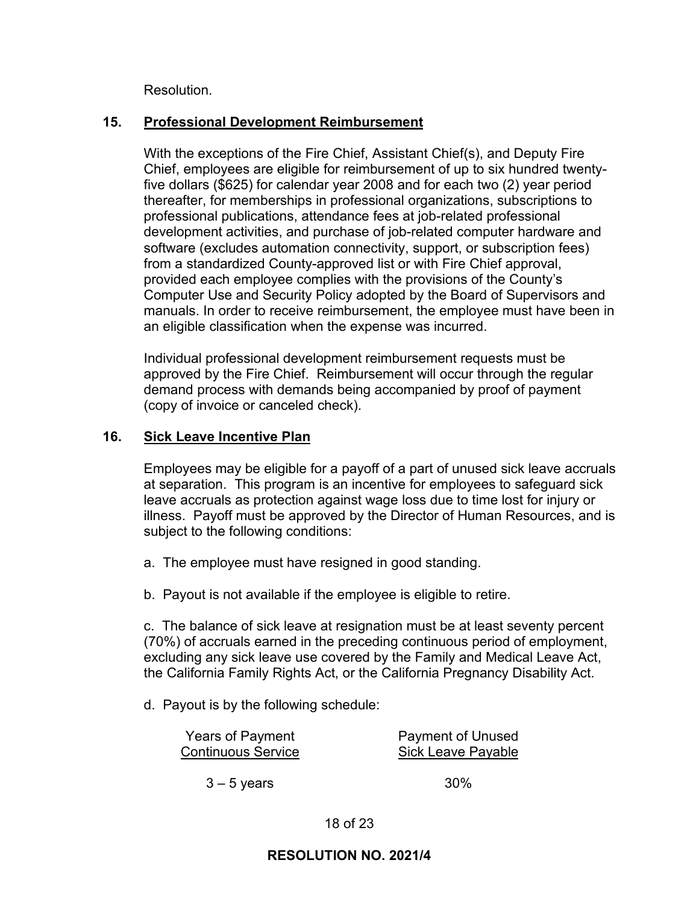Resolution.

## **15. Professional Development Reimbursement**

With the exceptions of the Fire Chief, Assistant Chief(s), and Deputy Fire Chief, employees are eligible for reimbursement of up to six hundred twentyfive dollars (\$625) for calendar year 2008 and for each two (2) year period thereafter, for memberships in professional organizations, subscriptions to professional publications, attendance fees at job-related professional development activities, and purchase of job-related computer hardware and software (excludes automation connectivity, support, or subscription fees) from a standardized County-approved list or with Fire Chief approval, provided each employee complies with the provisions of the County's Computer Use and Security Policy adopted by the Board of Supervisors and manuals. In order to receive reimbursement, the employee must have been in an eligible classification when the expense was incurred.

Individual professional development reimbursement requests must be approved by the Fire Chief. Reimbursement will occur through the regular demand process with demands being accompanied by proof of payment (copy of invoice or canceled check).

### **16. Sick Leave Incentive Plan**

Employees may be eligible for a payoff of a part of unused sick leave accruals at separation. This program is an incentive for employees to safeguard sick leave accruals as protection against wage loss due to time lost for injury or illness. Payoff must be approved by the Director of Human Resources, and is subject to the following conditions:

- a. The employee must have resigned in good standing.
- b. Payout is not available if the employee is eligible to retire.

c. The balance of sick leave at resignation must be at least seventy percent (70%) of accruals earned in the preceding continuous period of employment, excluding any sick leave use covered by the Family and Medical Leave Act, the California Family Rights Act, or the California Pregnancy Disability Act.

d. Payout is by the following schedule:

| <b>Years of Payment</b>   | <b>Payment of Unused</b>  |
|---------------------------|---------------------------|
| <b>Continuous Service</b> | <b>Sick Leave Payable</b> |
|                           |                           |

 $3 - 5$  years  $30\%$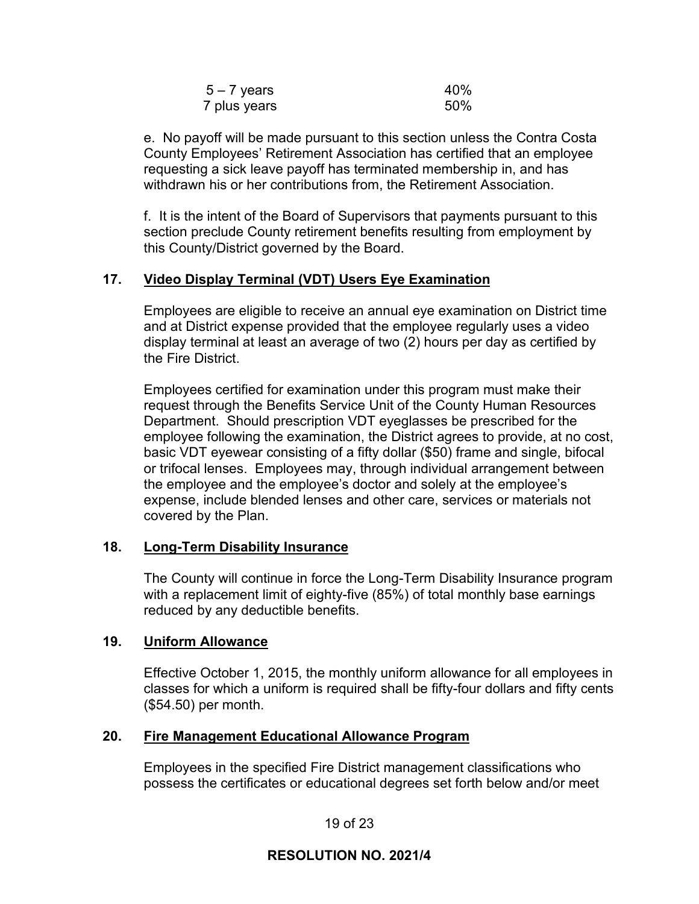| $5 - 7$ years | 40% |
|---------------|-----|
| 7 plus years  | 50% |

e. No payoff will be made pursuant to this section unless the Contra Costa County Employees' Retirement Association has certified that an employee requesting a sick leave payoff has terminated membership in, and has withdrawn his or her contributions from, the Retirement Association.

f. It is the intent of the Board of Supervisors that payments pursuant to this section preclude County retirement benefits resulting from employment by this County/District governed by the Board.

### **17. Video Display Terminal (VDT) Users Eye Examination**

Employees are eligible to receive an annual eye examination on District time and at District expense provided that the employee regularly uses a video display terminal at least an average of two (2) hours per day as certified by the Fire District.

Employees certified for examination under this program must make their request through the Benefits Service Unit of the County Human Resources Department. Should prescription VDT eyeglasses be prescribed for the employee following the examination, the District agrees to provide, at no cost, basic VDT eyewear consisting of a fifty dollar (\$50) frame and single, bifocal or trifocal lenses. Employees may, through individual arrangement between the employee and the employee's doctor and solely at the employee's expense, include blended lenses and other care, services or materials not covered by the Plan.

### **18. Long-Term Disability Insurance**

The County will continue in force the Long-Term Disability Insurance program with a replacement limit of eighty-five (85%) of total monthly base earnings reduced by any deductible benefits.

### **19. Uniform Allowance**

Effective October 1, 2015, the monthly uniform allowance for all employees in classes for which a uniform is required shall be fifty-four dollars and fifty cents (\$54.50) per month.

### **20. Fire Management Educational Allowance Program**

Employees in the specified Fire District management classifications who possess the certificates or educational degrees set forth below and/or meet

19 of 23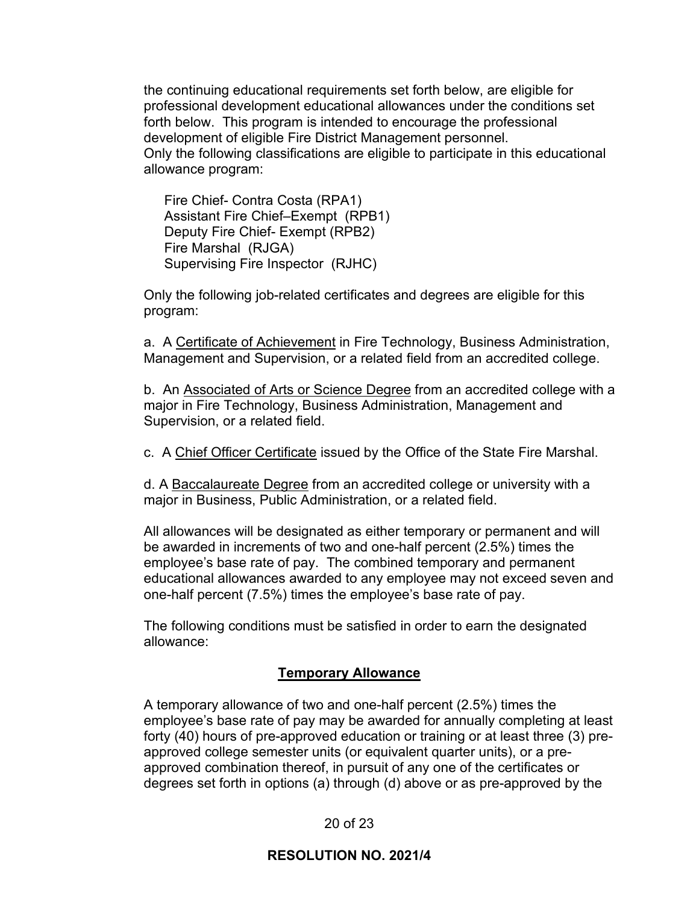the continuing educational requirements set forth below, are eligible for professional development educational allowances under the conditions set forth below. This program is intended to encourage the professional development of eligible Fire District Management personnel. Only the following classifications are eligible to participate in this educational allowance program:

Fire Chief- Contra Costa (RPA1) Assistant Fire Chief–Exempt (RPB1) Deputy Fire Chief- Exempt (RPB2) Fire Marshal (RJGA) Supervising Fire Inspector (RJHC)

Only the following job-related certificates and degrees are eligible for this program:

a. A Certificate of Achievement in Fire Technology, Business Administration, Management and Supervision, or a related field from an accredited college.

b. An Associated of Arts or Science Degree from an accredited college with a major in Fire Technology, Business Administration, Management and Supervision, or a related field.

c. A Chief Officer Certificate issued by the Office of the State Fire Marshal.

d. A Baccalaureate Degree from an accredited college or university with a major in Business, Public Administration, or a related field.

All allowances will be designated as either temporary or permanent and will be awarded in increments of two and one-half percent (2.5%) times the employee's base rate of pay. The combined temporary and permanent educational allowances awarded to any employee may not exceed seven and one-half percent (7.5%) times the employee's base rate of pay.

The following conditions must be satisfied in order to earn the designated allowance:

## **Temporary Allowance**

A temporary allowance of two and one-half percent (2.5%) times the employee's base rate of pay may be awarded for annually completing at least forty (40) hours of pre-approved education or training or at least three (3) preapproved college semester units (or equivalent quarter units), or a preapproved combination thereof, in pursuit of any one of the certificates or degrees set forth in options (a) through (d) above or as pre-approved by the

20 of 23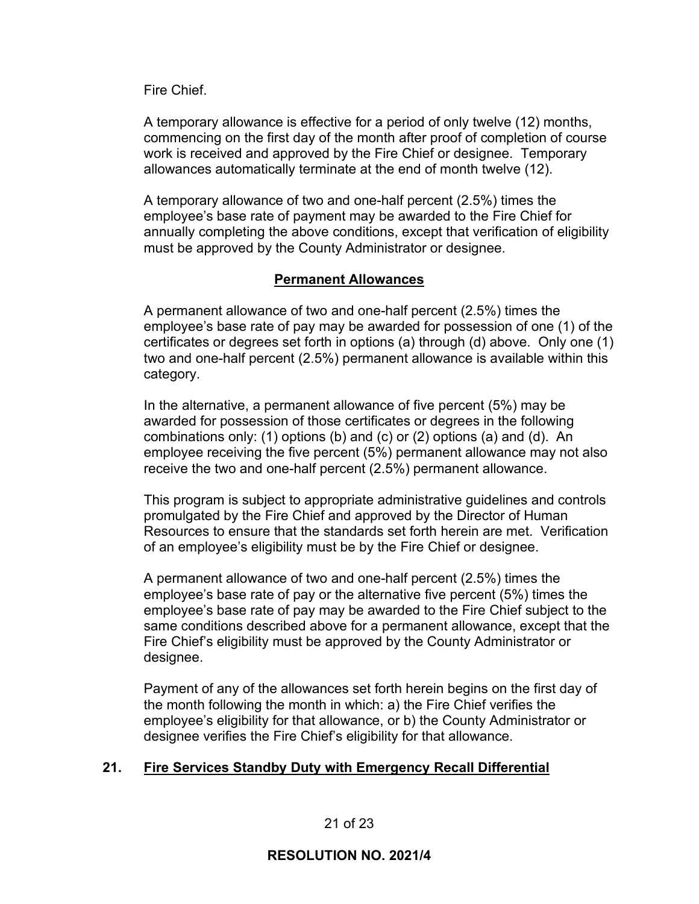Fire Chief.

A temporary allowance is effective for a period of only twelve (12) months, commencing on the first day of the month after proof of completion of course work is received and approved by the Fire Chief or designee. Temporary allowances automatically terminate at the end of month twelve (12).

A temporary allowance of two and one-half percent (2.5%) times the employee's base rate of payment may be awarded to the Fire Chief for annually completing the above conditions, except that verification of eligibility must be approved by the County Administrator or designee.

## **Permanent Allowances**

A permanent allowance of two and one-half percent (2.5%) times the employee's base rate of pay may be awarded for possession of one (1) of the certificates or degrees set forth in options (a) through (d) above. Only one (1) two and one-half percent (2.5%) permanent allowance is available within this category.

In the alternative, a permanent allowance of five percent (5%) may be awarded for possession of those certificates or degrees in the following combinations only: (1) options (b) and (c) or (2) options (a) and (d). An employee receiving the five percent (5%) permanent allowance may not also receive the two and one-half percent (2.5%) permanent allowance.

This program is subject to appropriate administrative guidelines and controls promulgated by the Fire Chief and approved by the Director of Human Resources to ensure that the standards set forth herein are met. Verification of an employee's eligibility must be by the Fire Chief or designee.

A permanent allowance of two and one-half percent (2.5%) times the employee's base rate of pay or the alternative five percent (5%) times the employee's base rate of pay may be awarded to the Fire Chief subject to the same conditions described above for a permanent allowance, except that the Fire Chief's eligibility must be approved by the County Administrator or designee.

Payment of any of the allowances set forth herein begins on the first day of the month following the month in which: a) the Fire Chief verifies the employee's eligibility for that allowance, or b) the County Administrator or designee verifies the Fire Chief's eligibility for that allowance.

# **21. Fire Services Standby Duty with Emergency Recall Differential**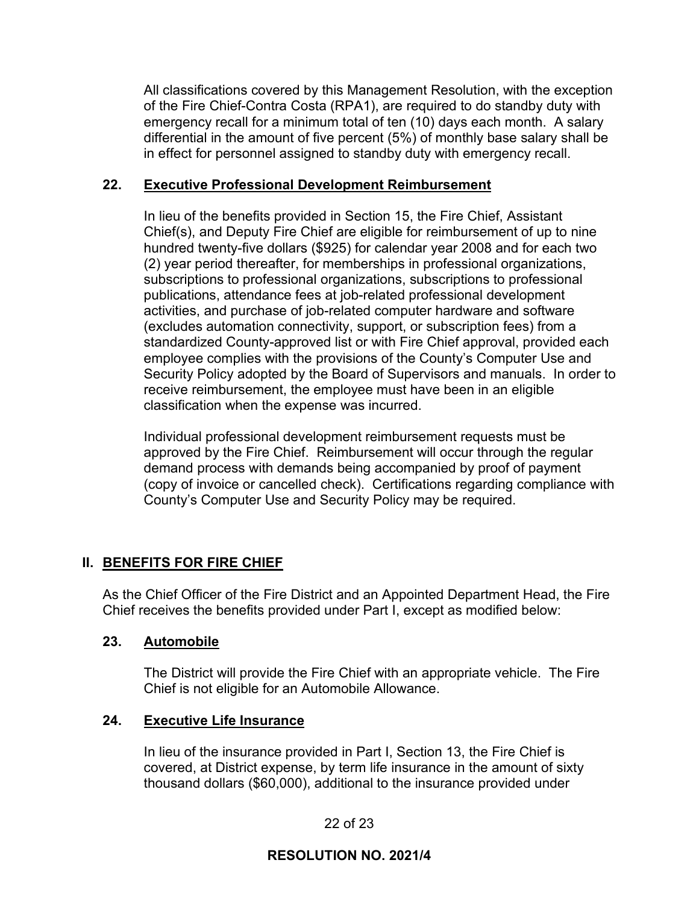All classifications covered by this Management Resolution, with the exception of the Fire Chief-Contra Costa (RPA1), are required to do standby duty with emergency recall for a minimum total of ten (10) days each month. A salary differential in the amount of five percent (5%) of monthly base salary shall be in effect for personnel assigned to standby duty with emergency recall.

## **22. Executive Professional Development Reimbursement**

In lieu of the benefits provided in Section 15, the Fire Chief, Assistant Chief(s), and Deputy Fire Chief are eligible for reimbursement of up to nine hundred twenty-five dollars (\$925) for calendar year 2008 and for each two (2) year period thereafter, for memberships in professional organizations, subscriptions to professional organizations, subscriptions to professional publications, attendance fees at job-related professional development activities, and purchase of job-related computer hardware and software (excludes automation connectivity, support, or subscription fees) from a standardized County-approved list or with Fire Chief approval, provided each employee complies with the provisions of the County's Computer Use and Security Policy adopted by the Board of Supervisors and manuals. In order to receive reimbursement, the employee must have been in an eligible classification when the expense was incurred.

Individual professional development reimbursement requests must be approved by the Fire Chief. Reimbursement will occur through the regular demand process with demands being accompanied by proof of payment (copy of invoice or cancelled check). Certifications regarding compliance with County's Computer Use and Security Policy may be required.

# **II. BENEFITS FOR FIRE CHIEF**

As the Chief Officer of the Fire District and an Appointed Department Head, the Fire Chief receives the benefits provided under Part I, except as modified below:

## **23. Automobile**

The District will provide the Fire Chief with an appropriate vehicle. The Fire Chief is not eligible for an Automobile Allowance.

## **24. Executive Life Insurance**

In lieu of the insurance provided in Part I, Section 13, the Fire Chief is covered, at District expense, by term life insurance in the amount of sixty thousand dollars (\$60,000), additional to the insurance provided under